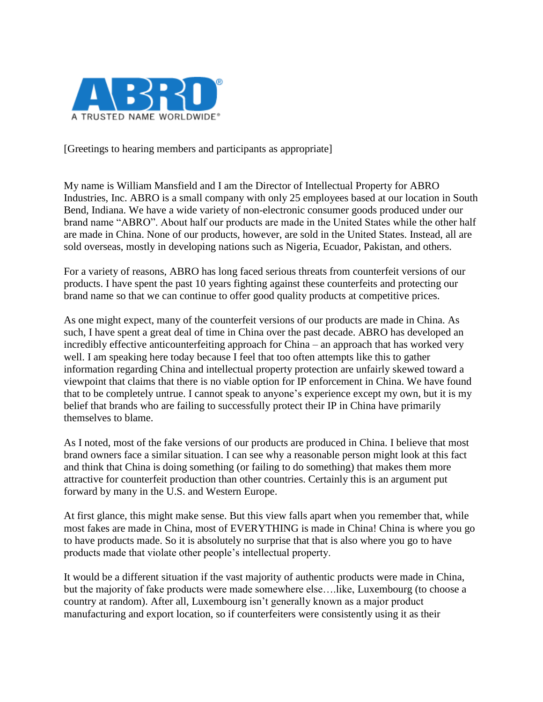

[Greetings to hearing members and participants as appropriate]

My name is William Mansfield and I am the Director of Intellectual Property for ABRO Industries, Inc. ABRO is a small company with only 25 employees based at our location in South Bend, Indiana. We have a wide variety of non-electronic consumer goods produced under our brand name "ABRO". About half our products are made in the United States while the other half are made in China. None of our products, however, are sold in the United States. Instead, all are sold overseas, mostly in developing nations such as Nigeria, Ecuador, Pakistan, and others.

For a variety of reasons, ABRO has long faced serious threats from counterfeit versions of our products. I have spent the past 10 years fighting against these counterfeits and protecting our brand name so that we can continue to offer good quality products at competitive prices.

As one might expect, many of the counterfeit versions of our products are made in China. As such, I have spent a great deal of time in China over the past decade. ABRO has developed an incredibly effective anticounterfeiting approach for China – an approach that has worked very well. I am speaking here today because I feel that too often attempts like this to gather information regarding China and intellectual property protection are unfairly skewed toward a viewpoint that claims that there is no viable option for IP enforcement in China. We have found that to be completely untrue. I cannot speak to anyone's experience except my own, but it is my belief that brands who are failing to successfully protect their IP in China have primarily themselves to blame.

As I noted, most of the fake versions of our products are produced in China. I believe that most brand owners face a similar situation. I can see why a reasonable person might look at this fact and think that China is doing something (or failing to do something) that makes them more attractive for counterfeit production than other countries. Certainly this is an argument put forward by many in the U.S. and Western Europe.

At first glance, this might make sense. But this view falls apart when you remember that, while most fakes are made in China, most of EVERYTHING is made in China! China is where you go to have products made. So it is absolutely no surprise that that is also where you go to have products made that violate other people's intellectual property.

It would be a different situation if the vast majority of authentic products were made in China, but the majority of fake products were made somewhere else….like, Luxembourg (to choose a country at random). After all, Luxembourg isn't generally known as a major product manufacturing and export location, so if counterfeiters were consistently using it as their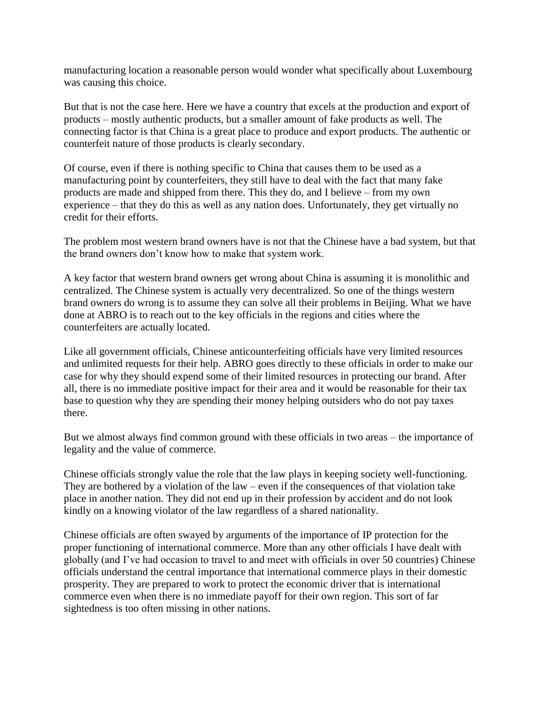manufacturing location a reasonable person would wonder what specifically about Luxembourg was causing this choice.

But that is not the case here. Here we have a country that excels at the production and export of products – mostly authentic products, but a smaller amount of fake products as well. The connecting factor is that China is a great place to produce and export products. The authentic or counterfeit nature of those products is clearly secondary.

Of course, even if there is nothing specific to China that causes them to be used as a manufacturing point by counterfeiters, they still have to deal with the fact that many fake products are made and shipped from there. This they do, and I believe – from my own experience – that they do this as well as any nation does. Unfortunately, they get virtually no credit for their efforts.

The problem most western brand owners have is not that the Chinese have a bad system, but that the brand owners don't know how to make that system work.

A key factor that western brand owners get wrong about China is assuming it is monolithic and centralized. The Chinese system is actually very decentralized. So one of the things western brand owners do wrong is to assume they can solve all their problems in Beijing. What we have done at ABRO is to reach out to the key officials in the regions and cities where the counterfeiters are actually located.

Like all government officials, Chinese anticounterfeiting officials have very limited resources and unlimited requests for their help. ABRO goes directly to these officials in order to make our case for why they should expend some of their limited resources in protecting our brand. After all, there is no immediate positive impact for their area and it would be reasonable for their tax base to question why they are spending their money helping outsiders who do not pay taxes there.

But we almost always find common ground with these officials in two areas – the importance of legality and the value of commerce.

Chinese officials strongly value the role that the law plays in keeping society well-functioning. They are bothered by a violation of the law – even if the consequences of that violation take place in another nation. They did not end up in their profession by accident and do not look kindly on a knowing violator of the law regardless of a shared nationality.

Chinese officials are often swayed by arguments of the importance of IP protection for the proper functioning of international commerce. More than any other officials I have dealt with globally (and I've had occasion to travel to and meet with officials in over 50 countries) Chinese officials understand the central importance that international commerce plays in their domestic prosperity. They are prepared to work to protect the economic driver that is international commerce even when there is no immediate payoff for their own region. This sort of far sightedness is too often missing in other nations.